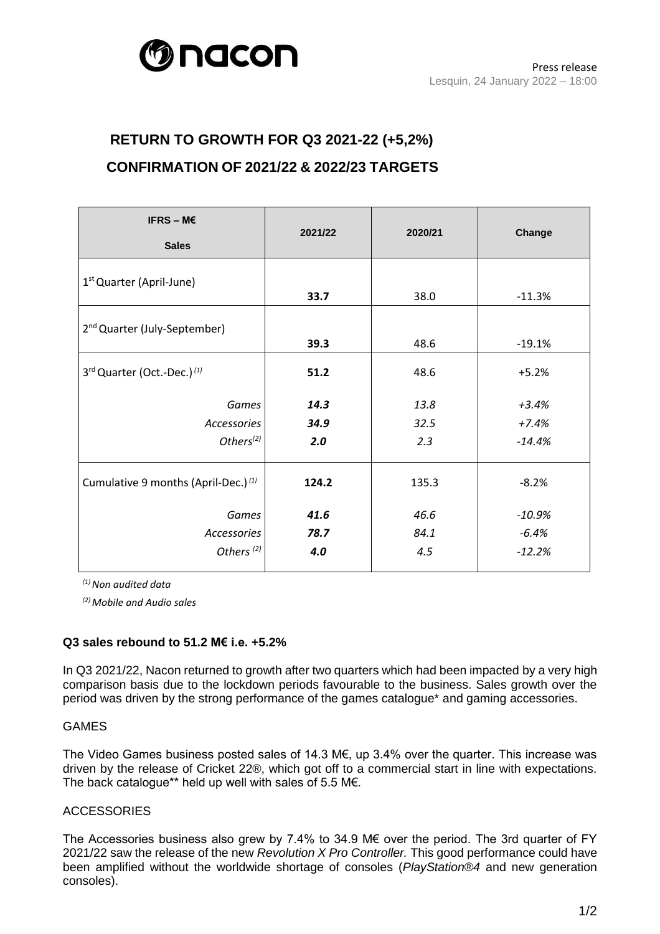

# **RETURN TO GROWTH FOR Q3 2021-22 (+5,2%) CONFIRMATION OF 2021/22 & 2022/23 TARGETS**

| IFRS - $M \in$                                  | 2021/22 | 2020/21 | Change   |
|-------------------------------------------------|---------|---------|----------|
| <b>Sales</b>                                    |         |         |          |
| 1 <sup>st</sup> Quarter (April-June)            |         |         |          |
|                                                 | 33.7    | 38.0    | $-11.3%$ |
|                                                 |         |         |          |
| 2 <sup>nd</sup> Quarter (July-September)        | 39.3    | 48.6    | $-19.1%$ |
| 3rd Quarter (Oct.-Dec.) (1)                     | 51.2    | 48.6    | $+5.2%$  |
|                                                 |         |         |          |
| Games                                           | 14.3    | 13.8    | $+3.4%$  |
| Accessories                                     | 34.9    | 32.5    | $+7.4%$  |
| Others <sup>(2)</sup>                           | 2.0     | 2.3     | $-14.4%$ |
| Cumulative 9 months (April-Dec.) <sup>(1)</sup> | 124.2   | 135.3   | $-8.2%$  |
| Games                                           | 41.6    | 46.6    | $-10.9%$ |
| Accessories                                     | 78.7    | 84.1    | $-6.4%$  |
| Others <sup>(2)</sup>                           | 4.0     | 4.5     | $-12.2%$ |
|                                                 |         |         |          |

*(1)Non audited data*

*(2) Mobile and Audio sales*

# **Q3 sales rebound to 51.2 M€ i.e. +5.2%**

In Q3 2021/22, Nacon returned to growth after two quarters which had been impacted by a very high comparison basis due to the lockdown periods favourable to the business. Sales growth over the period was driven by the strong performance of the games catalogue\* and gaming accessories.

#### GAMES

The Video Games business posted sales of 14.3 M€, up 3.4% over the quarter. This increase was driven by the release of Cricket 22®, which got off to a commercial start in line with expectations. The back catalogue\*\* held up well with sales of 5.5 M€.

#### **ACCESSORIES**

The Accessories business also grew by 7.4% to 34.9 M€ over the period. The 3rd quarter of FY 2021/22 saw the release of the new *Revolution X Pro Controller.* This good performance could have been amplified without the worldwide shortage of consoles (*PlayStation®4* and new generation consoles).